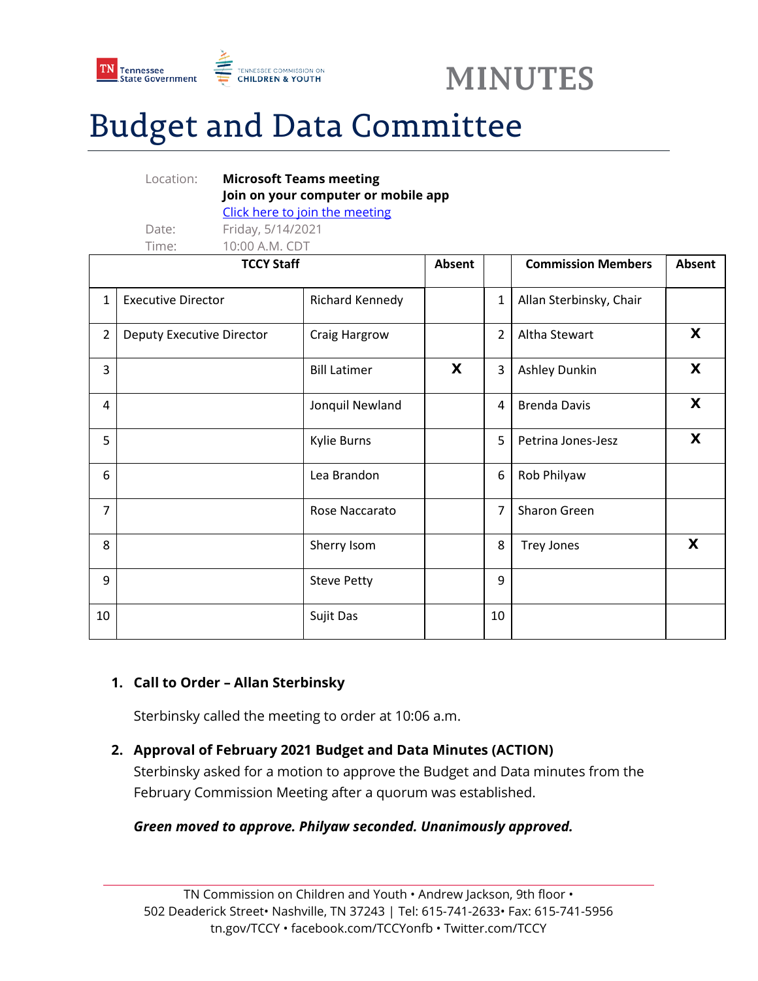



# Budget and Data Committee

|                   | Location:                        | <b>Microsoft Teams meeting</b> |                                     |        |                |                           |        |
|-------------------|----------------------------------|--------------------------------|-------------------------------------|--------|----------------|---------------------------|--------|
|                   |                                  |                                | Join on your computer or mobile app |        |                |                           |        |
|                   |                                  | Click here to join the meeting |                                     |        |                |                           |        |
|                   | Date:                            | Friday, 5/14/2021              |                                     |        |                |                           |        |
|                   | Time:                            | 10:00 A.M. CDT                 |                                     |        |                |                           |        |
| <b>TCCY Staff</b> |                                  |                                |                                     | Absent |                | <b>Commission Members</b> | Absent |
| $\mathbf{1}$      | <b>Executive Director</b>        |                                | Richard Kennedy                     |        | $\mathbf{1}$   | Allan Sterbinsky, Chair   |        |
| $\overline{2}$    | <b>Deputy Executive Director</b> |                                | Craig Hargrow                       |        | $\overline{2}$ | Altha Stewart             | X      |
| 3                 |                                  |                                | <b>Bill Latimer</b>                 | X      | 3              | Ashley Dunkin             | X      |
| 4                 |                                  |                                | Jonquil Newland                     |        | 4              | <b>Brenda Davis</b>       | X      |
| 5                 |                                  |                                | <b>Kylie Burns</b>                  |        | 5              | Petrina Jones-Jesz        | X      |
| 6                 |                                  |                                | Lea Brandon                         |        | 6              | Rob Philyaw               |        |
| $\overline{7}$    |                                  |                                | Rose Naccarato                      |        | $\overline{7}$ | Sharon Green              |        |
| 8                 |                                  |                                | Sherry Isom                         |        | 8              | <b>Trey Jones</b>         | X      |
| 9                 |                                  |                                | <b>Steve Petty</b>                  |        | 9              |                           |        |
| 10                |                                  |                                | Sujit Das                           |        | 10             |                           |        |

## **1. Call to Order – Allan Sterbinsky**

Sterbinsky called the meeting to order at 10:06 a.m.

## **2. Approval of February 2021 Budget and Data Minutes (ACTION)**

Sterbinsky asked for a motion to approve the Budget and Data minutes from the February Commission Meeting after a quorum was established.

## *Green moved to approve. Philyaw seconded. Unanimously approved.*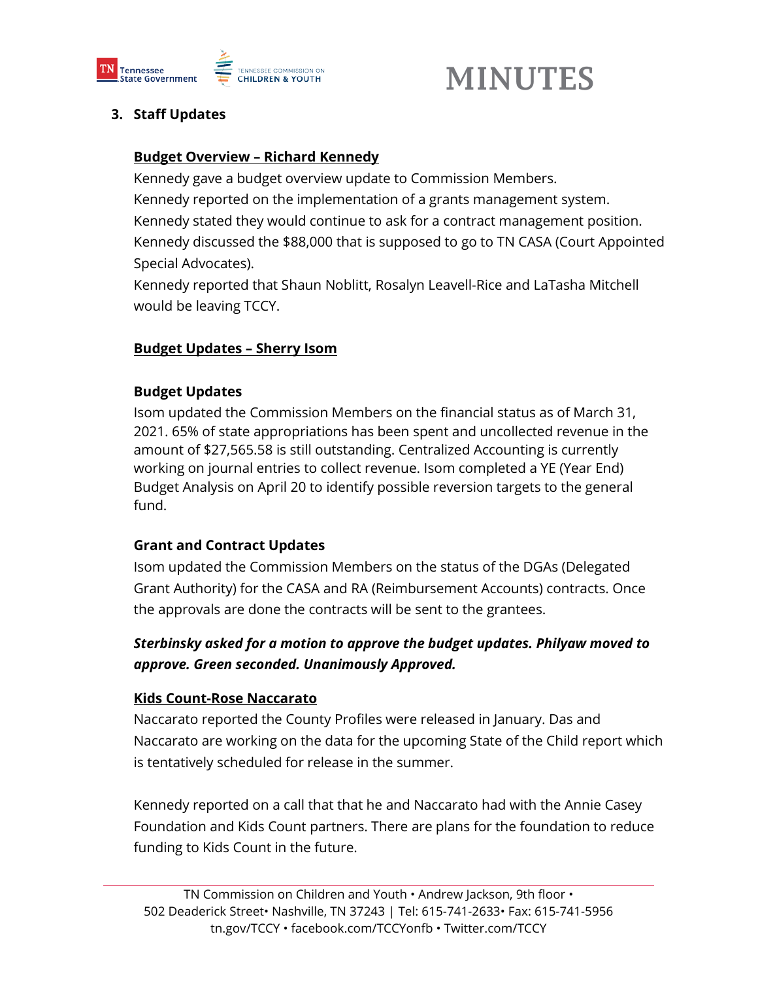

## **MINUTES**

## **3. Staff Updates**

## **Budget Overview – Richard Kennedy**

Kennedy gave a budget overview update to Commission Members. Kennedy reported on the implementation of a grants management system. Kennedy stated they would continue to ask for a contract management position. Kennedy discussed the \$88,000 that is supposed to go to TN CASA (Court Appointed Special Advocates).

Kennedy reported that Shaun Noblitt, Rosalyn Leavell-Rice and LaTasha Mitchell would be leaving TCCY.

## **Budget Updates – Sherry Isom**

## **Budget Updates**

Isom updated the Commission Members on the financial status as of March 31, 2021. 65% of state appropriations has been spent and uncollected revenue in the amount of \$27,565.58 is still outstanding. Centralized Accounting is currently working on journal entries to collect revenue. Isom completed a YE (Year End) Budget Analysis on April 20 to identify possible reversion targets to the general fund.

## **Grant and Contract Updates**

Isom updated the Commission Members on the status of the DGAs (Delegated Grant Authority) for the CASA and RA (Reimbursement Accounts) contracts. Once the approvals are done the contracts will be sent to the grantees.

## *Sterbinsky asked for a motion to approve the budget updates. Philyaw moved to approve. Green seconded. Unanimously Approved.*

## **Kids Count-Rose Naccarato**

Naccarato reported the County Profiles were released in January. Das and Naccarato are working on the data for the upcoming State of the Child report which is tentatively scheduled for release in the summer.

Kennedy reported on a call that that he and Naccarato had with the Annie Casey Foundation and Kids Count partners. There are plans for the foundation to reduce funding to Kids Count in the future.